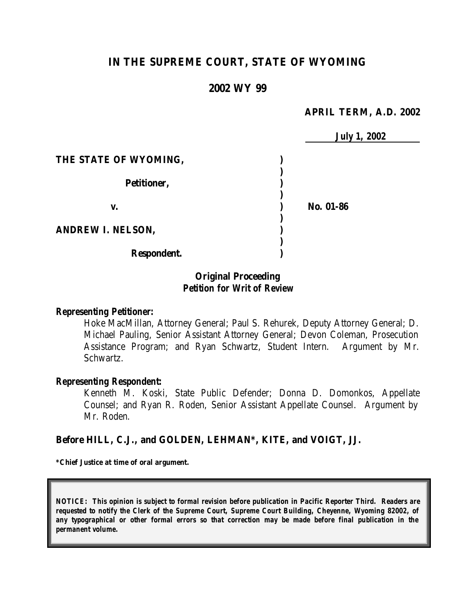# **IN THE SUPREME COURT, STATE OF WYOMING**

## **2002 WY 99**

### **APRIL TERM, A.D. 2002**

|                          | <b>July 1, 2002</b> |
|--------------------------|---------------------|
| THE STATE OF WYOMING,    |                     |
|                          |                     |
| Petitioner,              |                     |
| v.                       | No. 01-86           |
| <b>ANDREW I. NELSON,</b> |                     |
| Respondent.              |                     |

## **Original Proceeding** *Petition for Writ of Review*

#### *Representing Petitioner:*

Hoke MacMillan, Attorney General; Paul S. Rehurek, Deputy Attorney General; D. Michael Pauling, Senior Assistant Attorney General; Devon Coleman, Prosecution Assistance Program; and Ryan Schwartz, Student Intern. Argument by Mr. Schwartz.

#### *Representing Respondent:*

Kenneth M. Koski, State Public Defender; Donna D. Domonkos, Appellate Counsel; and Ryan R. Roden, Senior Assistant Appellate Counsel. Argument by Mr. Roden.

### **Before HILL, C.J., and GOLDEN, LEHMAN\*, KITE, and VOIGT, JJ.**

**\*Chief Justice at time of oral argument.**

*NOTICE: This opinion is subject to formal revision before publication in Pacific Reporter Third. Readers are requested to notify the Clerk of the Supreme Court, Supreme Court Building, Cheyenne, Wyoming 82002, of any typographical or other formal errors so that correction may be made before final publication in the permanent volume.*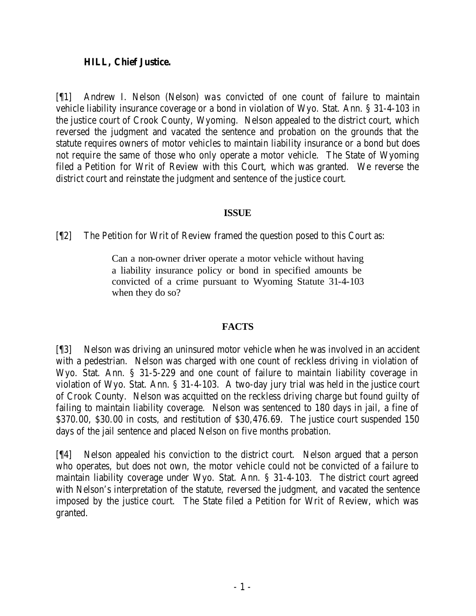## **HILL, Chief Justice.**

[¶1] Andrew I. Nelson (Nelson) was convicted of one count of failure to maintain vehicle liability insurance coverage or a bond in violation of Wyo. Stat. Ann. § 31-4-103 in the justice court of Crook County, Wyoming. Nelson appealed to the district court, which reversed the judgment and vacated the sentence and probation on the grounds that the statute requires owners of motor vehicles to maintain liability insurance or a bond but does not require the same of those who only operate a motor vehicle. The State of Wyoming filed a Petition for Writ of Review with this Court, which was granted. We reverse the district court and reinstate the judgment and sentence of the justice court.

# **ISSUE**

[¶2] The Petition for Writ of Review framed the question posed to this Court as:

Can a non-owner driver operate a motor vehicle without having a liability insurance policy or bond in specified amounts be convicted of a crime pursuant to Wyoming Statute 31-4-103 when they do so?

# **FACTS**

[¶3] Nelson was driving an uninsured motor vehicle when he was involved in an accident with a pedestrian. Nelson was charged with one count of reckless driving in violation of Wyo. Stat. Ann. § 31-5-229 and one count of failure to maintain liability coverage in violation of Wyo. Stat. Ann. § 31-4-103. A two-day jury trial was held in the justice court of Crook County. Nelson was acquitted on the reckless driving charge but found guilty of failing to maintain liability coverage. Nelson was sentenced to 180 days in jail, a fine of \$370.00, \$30.00 in costs, and restitution of \$30,476.69. The justice court suspended 150 days of the jail sentence and placed Nelson on five months probation.

[¶4] Nelson appealed his conviction to the district court. Nelson argued that a person who operates, but does not own, the motor vehicle could not be convicted of a failure to maintain liability coverage under Wyo. Stat. Ann. § 31-4-103. The district court agreed with Nelson's interpretation of the statute, reversed the judgment, and vacated the sentence imposed by the justice court. The State filed a Petition for Writ of Review, which was granted.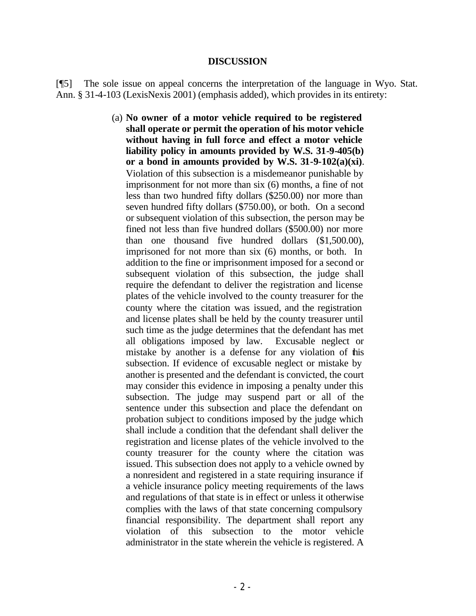#### **DISCUSSION**

[¶5] The sole issue on appeal concerns the interpretation of the language in Wyo. Stat. Ann. § 31-4-103 (LexisNexis 2001) (emphasis added), which provides in its entirety:

> (a) **No owner of a motor vehicle required to be registered shall operate or permit the operation of his motor vehicle without having in full force and effect a motor vehicle liability policy in amounts provided by W.S. 31-9-405(b) or a bond in amounts provided by W.S. 31-9-102(a)(xi)**. Violation of this subsection is a misdemeanor punishable by imprisonment for not more than six (6) months, a fine of not less than two hundred fifty dollars (\$250.00) nor more than seven hundred fifty dollars (\$750.00), or both. On a second or subsequent violation of this subsection, the person may be fined not less than five hundred dollars (\$500.00) nor more than one thousand five hundred dollars (\$1,500.00), imprisoned for not more than six (6) months, or both. In addition to the fine or imprisonment imposed for a second or subsequent violation of this subsection, the judge shall require the defendant to deliver the registration and license plates of the vehicle involved to the county treasurer for the county where the citation was issued, and the registration and license plates shall be held by the county treasurer until such time as the judge determines that the defendant has met all obligations imposed by law. Excusable neglect or mistake by another is a defense for any violation of this subsection. If evidence of excusable neglect or mistake by another is presented and the defendant is convicted, the court may consider this evidence in imposing a penalty under this subsection. The judge may suspend part or all of the sentence under this subsection and place the defendant on probation subject to conditions imposed by the judge which shall include a condition that the defendant shall deliver the registration and license plates of the vehicle involved to the county treasurer for the county where the citation was issued. This subsection does not apply to a vehicle owned by a nonresident and registered in a state requiring insurance if a vehicle insurance policy meeting requirements of the laws and regulations of that state is in effect or unless it otherwise complies with the laws of that state concerning compulsory financial responsibility. The department shall report any violation of this subsection to the motor vehicle administrator in the state wherein the vehicle is registered. A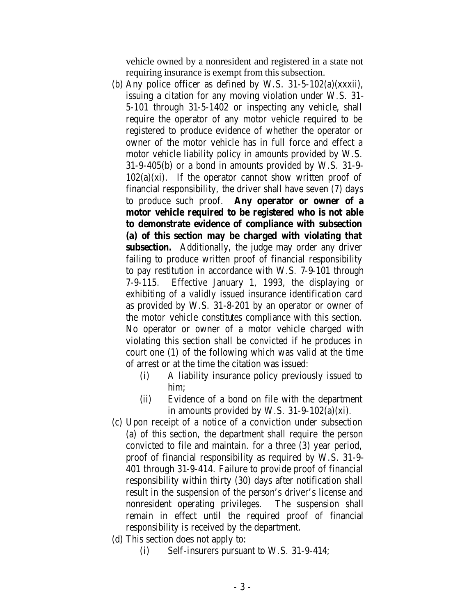vehicle owned by a nonresident and registered in a state not requiring insurance is exempt from this subsection.

- (b) Any police officer as defined by W.S.  $31-5-102(a)(xxxii)$ , issuing a citation for any moving violation under W.S. 31- 5-101 through 31-5-1402 or inspecting any vehicle, shall require the operator of any motor vehicle required to be registered to produce evidence of whether the operator or owner of the motor vehicle has in full force and effect a motor vehicle liability policy in amounts provided by W.S. 31-9-405(b) or a bond in amounts provided by W.S. 31-9-  $102(a)(xi)$ . If the operator cannot show written proof of financial responsibility, the driver shall have seven (7) days to produce such proof. **Any operator or owner of a motor vehicle required to be registered who is not able to demonstrate evidence of compliance with subsection (a) of this section may be charged with violating that subsection.** Additionally, the judge may order any driver failing to produce written proof of financial responsibility to pay restitution in accordance with W.S. 7-9-101 through 7-9-115. Effective January 1, 1993, the displaying or exhibiting of a validly issued insurance identification card as provided by W.S. 31-8-201 by an operator or owner of the motor vehicle constitutes compliance with this section. No operator or owner of a motor vehicle charged with violating this section shall be convicted if he produces in court one (1) of the following which was valid at the time of arrest or at the time the citation was issued:
	- (i) A liability insurance policy previously issued to him;
	- (ii) Evidence of a bond on file with the department in amounts provided by W.S.  $31-9-102(a)(xi)$ .
- (c) Upon receipt of a notice of a conviction under subsection (a) of this section, the department shall require the person convicted to file and maintain. for a three (3) year period, proof of financial responsibility as required by W.S. 31-9- 401 through 31-9-414. Failure to provide proof of financial responsibility within thirty (30) days after notification shall result in the suspension of the person's driver's license and nonresident operating privileges. The suspension shall remain in effect until the required proof of financial responsibility is received by the department.
- (d) This section does not apply to:
	- (i) Self-insurers pursuant to W.S. 31-9-414;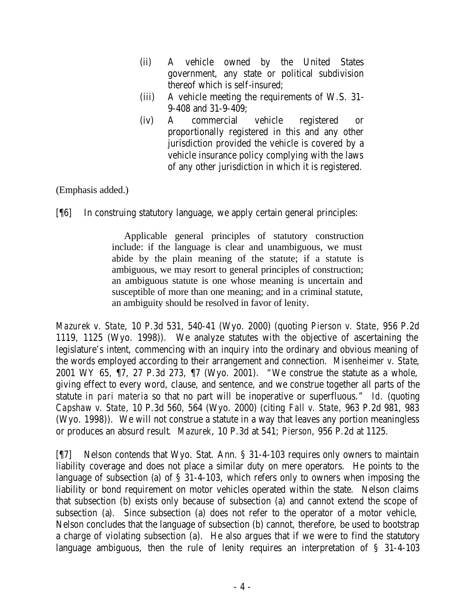- (ii) A vehicle owned by the United States government, any state or political subdivision thereof which is self-insured;
- (iii) A vehicle meeting the requirements of W.S. 31- 9-408 and 31-9-409;
- (iv) A commercial vehicle registered or proportionally registered in this and any other jurisdiction provided the vehicle is covered by a vehicle insurance policy complying with the laws of any other jurisdiction in which it is registered.

(Emphasis added.)

[¶6] In construing statutory language, we apply certain general principles:

 Applicable general principles of statutory construction include: if the language is clear and unambiguous, we must abide by the plain meaning of the statute; if a statute is ambiguous, we may resort to general principles of construction; an ambiguous statute is one whose meaning is uncertain and susceptible of more than one meaning; and in a criminal statute, an ambiguity should be resolved in favor of lenity.

*Mazurek v. State*, 10 P.3d 531, 540-41 (Wyo. 2000) (quoting *Pierson v. State*, 956 P.2d 1119, 1125 (Wyo. 1998)). We analyze statutes with the objective of ascertaining the legislature's intent, commencing with an inquiry into the ordinary and obvious meaning of the words employed according to their arrangement and connection. *Misenheimer v. State*, 2001 WY 65, ¶7, 27 P.3d 273, ¶7 (Wyo. 2001). "We construe the statute as a whole, giving effect to every word, clause, and sentence, and we construe together all parts of the statute *in pari materia* so that no part will be inoperative or superfluous." *Id.* (quoting *Capshaw v. State*, 10 P.3d 560, 564 (Wyo. 2000) (citing *Fall v. State*, 963 P.2d 981, 983 (Wyo. 1998)). We will not construe a statute in a way that leaves any portion meaningless or produces an absurd result. *Mazurek*, 10 P.3d at 541; *Pierson*, 956 P.2d at 1125.

[¶7] Nelson contends that Wyo. Stat. Ann. § 31-4-103 requires only owners to maintain liability coverage and does not place a similar duty on mere operators. He points to the language of subsection (a) of § 31-4-103, which refers only to owners when imposing the liability or bond requirement on motor vehicles operated within the state. Nelson claims that subsection (b) exists only because of subsection (a) and cannot extend the scope of subsection (a). Since subsection (a) does not refer to the operator of a motor vehicle, Nelson concludes that the language of subsection (b) cannot, therefore, be used to bootstrap a charge of violating subsection (a). He also argues that if we were to find the statutory language ambiguous, then the rule of lenity requires an interpretation of § 31-4-103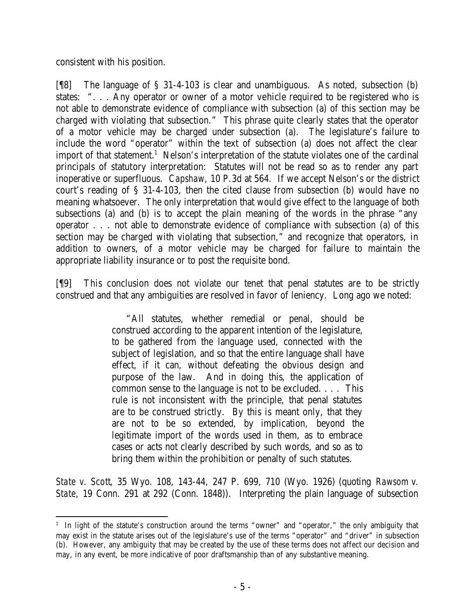consistent with his position.

[¶8] The language of § 31-4-103 is clear and unambiguous. As noted, subsection (b) states: ". . . Any operator or owner of a motor vehicle required to be registered who is not able to demonstrate evidence of compliance with subsection (a) of this section may be charged with violating that subsection." This phrase quite clearly states that the operator of a motor vehicle may be charged under subsection (a). The legislature's failure to include the word "operator" within the text of subsection (a) does not affect the clear import of that statement.<sup>1</sup> Nelson's interpretation of the statute violates one of the cardinal principals of statutory interpretation: Statutes will not be read so as to render any part inoperative or superfluous. *Capshaw*, 10 P.3d at 564. If we accept Nelson's or the district court's reading of § 31-4-103, then the cited clause from subsection (b) would have no meaning whatsoever. The only interpretation that would give effect to the language of both subsections (a) and (b) is to accept the plain meaning of the words in the phrase "any operator . . . not able to demonstrate evidence of compliance with subsection (a) of this section may be charged with violating that subsection," and recognize that operators, in addition to owners, of a motor vehicle may be charged for failure to maintain the appropriate liability insurance or to post the requisite bond.

[¶9] This conclusion does not violate our tenet that penal statutes are to be strictly construed and that any ambiguities are resolved in favor of leniency. Long ago we noted:

> "All statutes, whether remedial or penal, should be construed according to the apparent intention of the legislature, to be gathered from the language used, connected with the subject of legislation, and so that the entire language shall have effect, if it can, without defeating the obvious design and purpose of the law. And in doing this, the application of common sense to the language is not to be excluded. . . . This rule is not inconsistent with the principle, that penal statutes are to be construed strictly. By this is meant only, that they are not to be so extended, by implication, beyond the legitimate import of the words used in them, as to embrace cases or acts not clearly described by such words, and so as to bring them within the prohibition or penalty of such statutes.

*State v. Scott*, 35 Wyo. 108, 143-44, 247 P. 699, 710 (Wyo. 1926) (quoting *Rawsom v. State*, 19 Conn. 291 at 292 (Conn. 1848)). Interpreting the plain language of subsection

<sup>&</sup>lt;sup>1</sup> In light of the statute's construction around the terms "owner" and "operator," the only ambiguity that may exist in the statute arises out of the legislature's use of the terms "operator" and "driver" in subsection (b). However, any ambiguity that may be created by the use of these terms does not affect our decision and may, in any event, be more indicative of poor draftsmanship than of any substantive meaning.